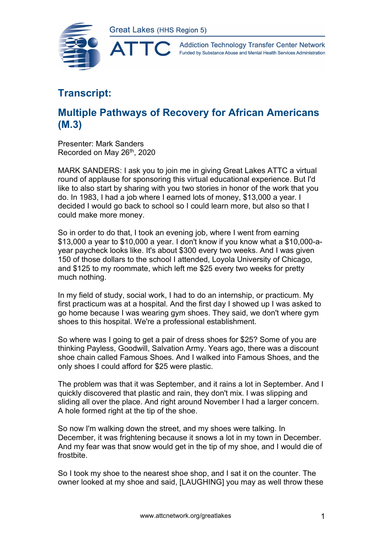



## **Transcript:**

## **Multiple Pathways of Recovery for African Americans (M.3)**

Presenter: Mark Sanders Recorded on May 26<sup>th</sup>, 2020

MARK SANDERS: I ask you to join me in giving Great Lakes ATTC a virtual round of applause for sponsoring this virtual educational experience. But I'd like to also start by sharing with you two stories in honor of the work that you do. In 1983, I had a job where I earned lots of money, \$13,000 a year. I decided I would go back to school so I could learn more, but also so that I could make more money.

So in order to do that, I took an evening job, where I went from earning \$13,000 a year to \$10,000 a year. I don't know if you know what a \$10,000-ayear paycheck looks like. It's about \$300 every two weeks. And I was given 150 of those dollars to the school I attended, Loyola University of Chicago, and \$125 to my roommate, which left me \$25 every two weeks for pretty much nothing.

In my field of study, social work, I had to do an internship, or practicum. My first practicum was at a hospital. And the first day I showed up I was asked to go home because I was wearing gym shoes. They said, we don't where gym shoes to this hospital. We're a professional establishment.

So where was I going to get a pair of dress shoes for \$25? Some of you are thinking Payless, Goodwill, Salvation Army. Years ago, there was a discount shoe chain called Famous Shoes. And I walked into Famous Shoes, and the only shoes I could afford for \$25 were plastic.

The problem was that it was September, and it rains a lot in September. And I quickly discovered that plastic and rain, they don't mix. I was slipping and sliding all over the place. And right around November I had a larger concern. A hole formed right at the tip of the shoe.

So now I'm walking down the street, and my shoes were talking. In December, it was frightening because it snows a lot in my town in December. And my fear was that snow would get in the tip of my shoe, and I would die of frostbite.

So I took my shoe to the nearest shoe shop, and I sat it on the counter. The owner looked at my shoe and said, [LAUGHING] you may as well throw these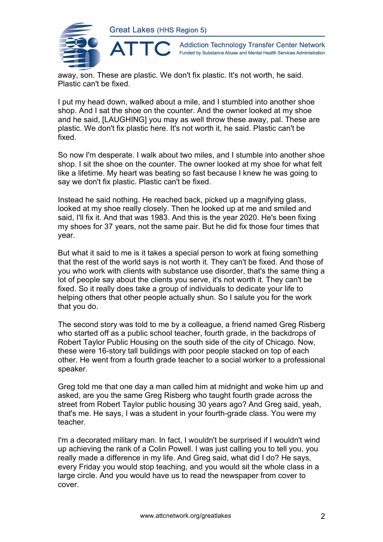

**Addiction Technology Transfer Center Network** Funded by Substance Abuse and Mental Health Services Administration

away, son. These are plastic. We don't fix plastic. It's not worth, he said. Plastic can't be fixed.

I put my head down, walked about a mile, and I stumbled into another shoe shop. And I sat the shoe on the counter. And the owner looked at my shoe and he said, [LAUGHING] you may as well throw these away, pal. These are plastic. We don't fix plastic here. It's not worth it, he said. Plastic can't be fixed.

So now I'm desperate. I walk about two miles, and I stumble into another shoe shop. I sit the shoe on the counter. The owner looked at my shoe for what felt like a lifetime. My heart was beating so fast because I knew he was going to say we don't fix plastic. Plastic can't be fixed.

Instead he said nothing. He reached back, picked up a magnifying glass, looked at my shoe really closely. Then he looked up at me and smiled and said, I'll fix it. And that was 1983. And this is the year 2020. He's been fixing my shoes for 37 years, not the same pair. But he did fix those four times that year.

But what it said to me is it takes a special person to work at fixing something that the rest of the world says is not worth it. They can't be fixed. And those of you who work with clients with substance use disorder, that's the same thing a lot of people say about the clients you serve, it's not worth it. They can't be fixed. So it really does take a group of individuals to dedicate your life to helping others that other people actually shun. So I salute you for the work that you do.

The second story was told to me by a colleague, a friend named Greg Risberg who started off as a public school teacher, fourth grade, in the backdrops of Robert Taylor Public Housing on the south side of the city of Chicago. Now, these were 16-story tall buildings with poor people stacked on top of each other. He went from a fourth grade teacher to a social worker to a professional speaker.

Greg told me that one day a man called him at midnight and woke him up and asked, are you the same Greg Risberg who taught fourth grade across the street from Robert Taylor public housing 30 years ago? And Greg said, yeah, that's me. He says, I was a student in your fourth-grade class. You were my teacher.

I'm a decorated military man. In fact, I wouldn't be surprised if I wouldn't wind up achieving the rank of a Colin Powell. I was just calling you to tell you, you really made a difference in my life. And Greg said, what did I do? He says, every Friday you would stop teaching, and you would sit the whole class in a large circle. And you would have us to read the newspaper from cover to cover.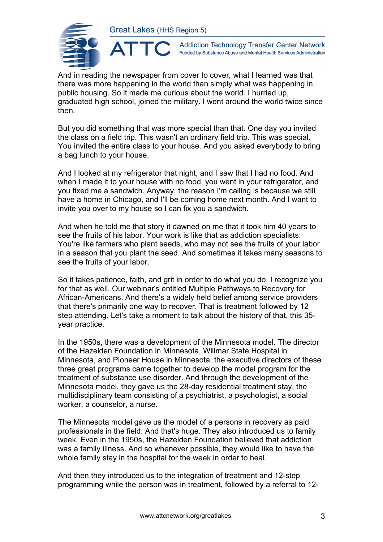

**Addiction Technology Transfer Center Network** Funded by Substance Abuse and Mental Health Services Administration

And in reading the newspaper from cover to cover, what I learned was that there was more happening in the world than simply what was happening in public housing. So it made me curious about the world. I hurried up, graduated high school, joined the military. I went around the world twice since then.

But you did something that was more special than that. One day you invited the class on a field trip. This wasn't an ordinary field trip. This was special. You invited the entire class to your house. And you asked everybody to bring a bag lunch to your house.

And I looked at my refrigerator that night, and I saw that I had no food. And when I made it to your house with no food, you went in your refrigerator, and you fixed me a sandwich. Anyway, the reason I'm calling is because we still have a home in Chicago, and I'll be coming home next month. And I want to invite you over to my house so I can fix you a sandwich.

And when he told me that story it dawned on me that it took him 40 years to see the fruits of his labor. Your work is like that as addiction specialists. You're like farmers who plant seeds, who may not see the fruits of your labor in a season that you plant the seed. And sometimes it takes many seasons to see the fruits of your labor.

So it takes patience, faith, and grit in order to do what you do. I recognize you for that as well. Our webinar's entitled Multiple Pathways to Recovery for African-Americans. And there's a widely held belief among service providers that there's primarily one way to recover. That is treatment followed by 12 step attending. Let's take a moment to talk about the history of that, this 35 year practice.

In the 1950s, there was a development of the Minnesota model. The director of the Hazelden Foundation in Minnesota, Willmar State Hospital in Minnesota, and Pioneer House in Minnesota, the executive directors of these three great programs came together to develop the model program for the treatment of substance use disorder. And through the development of the Minnesota model, they gave us the 28-day residential treatment stay, the multidisciplinary team consisting of a psychiatrist, a psychologist, a social worker, a counselor, a nurse.

The Minnesota model gave us the model of a persons in recovery as paid professionals in the field. And that's huge. They also introduced us to family week. Even in the 1950s, the Hazelden Foundation believed that addiction was a family illness. And so whenever possible, they would like to have the whole family stay in the hospital for the week in order to heal.

And then they introduced us to the integration of treatment and 12-step programming while the person was in treatment, followed by a referral to 12-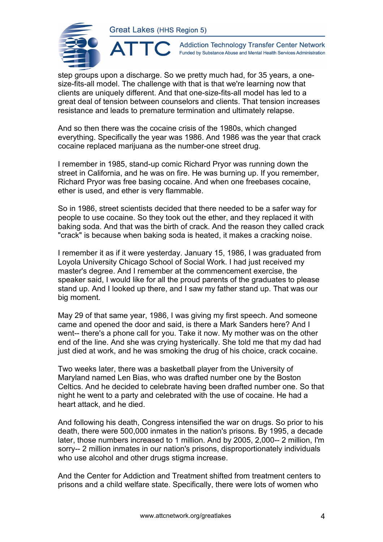

**Addiction Technology Transfer Center Network** Funded by Substance Abuse and Mental Health Services Administration

step groups upon a discharge. So we pretty much had, for 35 years, a onesize-fits-all model. The challenge with that is that we're learning now that clients are uniquely different. And that one-size-fits-all model has led to a great deal of tension between counselors and clients. That tension increases resistance and leads to premature termination and ultimately relapse.

And so then there was the cocaine crisis of the 1980s, which changed everything. Specifically the year was 1986. And 1986 was the year that crack cocaine replaced marijuana as the number-one street drug.

I remember in 1985, stand-up comic Richard Pryor was running down the street in California, and he was on fire. He was burning up. If you remember, Richard Pryor was free basing cocaine. And when one freebases cocaine, ether is used, and ether is very flammable.

So in 1986, street scientists decided that there needed to be a safer way for people to use cocaine. So they took out the ether, and they replaced it with baking soda. And that was the birth of crack. And the reason they called crack "crack" is because when baking soda is heated, it makes a cracking noise.

I remember it as if it were yesterday. January 15, 1986, I was graduated from Loyola University Chicago School of Social Work. I had just received my master's degree. And I remember at the commencement exercise, the speaker said, I would like for all the proud parents of the graduates to please stand up. And I looked up there, and I saw my father stand up. That was our big moment.

May 29 of that same year, 1986, I was giving my first speech. And someone came and opened the door and said, is there a Mark Sanders here? And I went-- there's a phone call for you. Take it now. My mother was on the other end of the line. And she was crying hysterically. She told me that my dad had just died at work, and he was smoking the drug of his choice, crack cocaine.

Two weeks later, there was a basketball player from the University of Maryland named Len Bias, who was drafted number one by the Boston Celtics. And he decided to celebrate having been drafted number one. So that night he went to a party and celebrated with the use of cocaine. He had a heart attack, and he died.

And following his death, Congress intensified the war on drugs. So prior to his death, there were 500,000 inmates in the nation's prisons. By 1995, a decade later, those numbers increased to 1 million. And by 2005, 2,000-- 2 million, I'm sorry-- 2 million inmates in our nation's prisons, disproportionately individuals who use alcohol and other drugs stigma increase.

And the Center for Addiction and Treatment shifted from treatment centers to prisons and a child welfare state. Specifically, there were lots of women who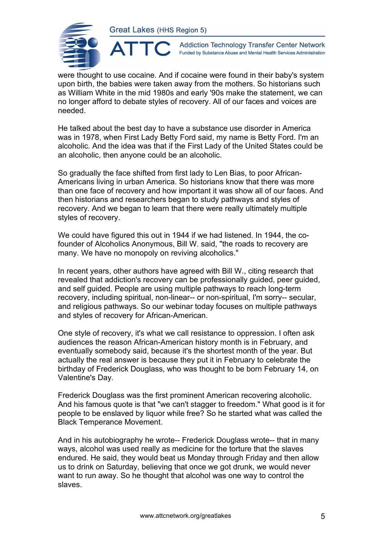

**Addiction Technology Transfer Center Network** Funded by Substance Abuse and Mental Health Services Administration

were thought to use cocaine. And if cocaine were found in their baby's system upon birth, the babies were taken away from the mothers. So historians such as William White in the mid 1980s and early '90s make the statement, we can no longer afford to debate styles of recovery. All of our faces and voices are needed.

He talked about the best day to have a substance use disorder in America was in 1978, when First Lady Betty Ford said, my name is Betty Ford. I'm an alcoholic. And the idea was that if the First Lady of the United States could be an alcoholic, then anyone could be an alcoholic.

So gradually the face shifted from first lady to Len Bias, to poor African-Americans living in urban America. So historians know that there was more than one face of recovery and how important it was show all of our faces. And then historians and researchers began to study pathways and styles of recovery. And we began to learn that there were really ultimately multiple styles of recovery.

We could have figured this out in 1944 if we had listened. In 1944, the cofounder of Alcoholics Anonymous, Bill W. said, "the roads to recovery are many. We have no monopoly on reviving alcoholics."

In recent years, other authors have agreed with Bill W., citing research that revealed that addiction's recovery can be professionally guided, peer guided, and self guided. People are using multiple pathways to reach long-term recovery, including spiritual, non-linear-- or non-spiritual, I'm sorry-- secular, and religious pathways. So our webinar today focuses on multiple pathways and styles of recovery for African-American.

One style of recovery, it's what we call resistance to oppression. I often ask audiences the reason African-American history month is in February, and eventually somebody said, because it's the shortest month of the year. But actually the real answer is because they put it in February to celebrate the birthday of Frederick Douglass, who was thought to be born February 14, on Valentine's Day.

Frederick Douglass was the first prominent American recovering alcoholic. And his famous quote is that "we can't stagger to freedom." What good is it for people to be enslaved by liquor while free? So he started what was called the Black Temperance Movement.

And in his autobiography he wrote-- Frederick Douglass wrote-- that in many ways, alcohol was used really as medicine for the torture that the slaves endured. He said, they would beat us Monday through Friday and then allow us to drink on Saturday, believing that once we got drunk, we would never want to run away. So he thought that alcohol was one way to control the slaves.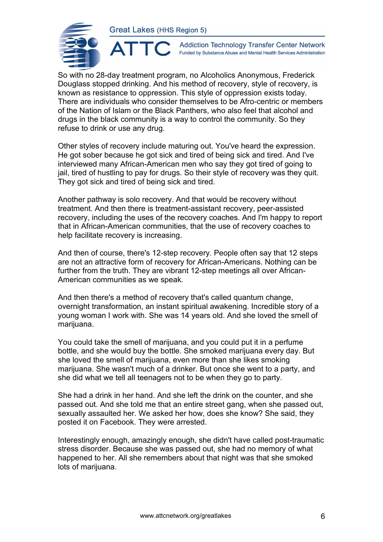

 $\blacktriangle$ 

**Addiction Technology Transfer Center Network** Funded by Substance Abuse and Mental Health Services Administration

So with no 28-day treatment program, no Alcoholics Anonymous, Frederick Douglass stopped drinking. And his method of recovery, style of recovery, is known as resistance to oppression. This style of oppression exists today. There are individuals who consider themselves to be Afro-centric or members of the Nation of Islam or the Black Panthers, who also feel that alcohol and drugs in the black community is a way to control the community. So they refuse to drink or use any drug.

Other styles of recovery include maturing out. You've heard the expression. He got sober because he got sick and tired of being sick and tired. And I've interviewed many African-American men who say they got tired of going to jail, tired of hustling to pay for drugs. So their style of recovery was they quit. They got sick and tired of being sick and tired.

Another pathway is solo recovery. And that would be recovery without treatment. And then there is treatment-assistant recovery, peer-assisted recovery, including the uses of the recovery coaches. And I'm happy to report that in African-American communities, that the use of recovery coaches to help facilitate recovery is increasing.

And then of course, there's 12-step recovery. People often say that 12 steps are not an attractive form of recovery for African-Americans. Nothing can be further from the truth. They are vibrant 12-step meetings all over African-American communities as we speak.

And then there's a method of recovery that's called quantum change, overnight transformation, an instant spiritual awakening. Incredible story of a young woman I work with. She was 14 years old. And she loved the smell of marijuana.

You could take the smell of marijuana, and you could put it in a perfume bottle, and she would buy the bottle. She smoked marijuana every day. But she loved the smell of marijuana, even more than she likes smoking marijuana. She wasn't much of a drinker. But once she went to a party, and she did what we tell all teenagers not to be when they go to party.

She had a drink in her hand. And she left the drink on the counter, and she passed out. And she told me that an entire street gang, when she passed out, sexually assaulted her. We asked her how, does she know? She said, they posted it on Facebook. They were arrested.

Interestingly enough, amazingly enough, she didn't have called post-traumatic stress disorder. Because she was passed out, she had no memory of what happened to her. All she remembers about that night was that she smoked lots of marijuana.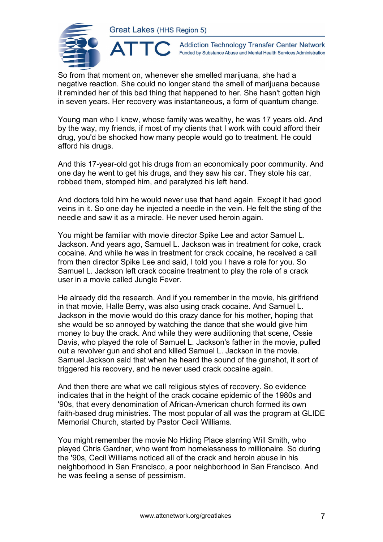**ATTO** 



**Addiction Technology Transfer Center Network** Funded by Substance Abuse and Mental Health Services Administration

So from that moment on, whenever she smelled marijuana, she had a negative reaction. She could no longer stand the smell of marijuana because it reminded her of this bad thing that happened to her. She hasn't gotten high in seven years. Her recovery was instantaneous, a form of quantum change.

Young man who I knew, whose family was wealthy, he was 17 years old. And by the way, my friends, if most of my clients that I work with could afford their drug, you'd be shocked how many people would go to treatment. He could afford his drugs.

And this 17-year-old got his drugs from an economically poor community. And one day he went to get his drugs, and they saw his car. They stole his car, robbed them, stomped him, and paralyzed his left hand.

And doctors told him he would never use that hand again. Except it had good veins in it. So one day he injected a needle in the vein. He felt the sting of the needle and saw it as a miracle. He never used heroin again.

You might be familiar with movie director Spike Lee and actor Samuel L. Jackson. And years ago, Samuel L. Jackson was in treatment for coke, crack cocaine. And while he was in treatment for crack cocaine, he received a call from then director Spike Lee and said, I told you I have a role for you. So Samuel L. Jackson left crack cocaine treatment to play the role of a crack user in a movie called Jungle Fever.

He already did the research. And if you remember in the movie, his girlfriend in that movie, Halle Berry, was also using crack cocaine. And Samuel L. Jackson in the movie would do this crazy dance for his mother, hoping that she would be so annoyed by watching the dance that she would give him money to buy the crack. And while they were auditioning that scene, Ossie Davis, who played the role of Samuel L. Jackson's father in the movie, pulled out a revolver gun and shot and killed Samuel L. Jackson in the movie. Samuel Jackson said that when he heard the sound of the gunshot, it sort of triggered his recovery, and he never used crack cocaine again.

And then there are what we call religious styles of recovery. So evidence indicates that in the height of the crack cocaine epidemic of the 1980s and '90s, that every denomination of African-American church formed its own faith-based drug ministries. The most popular of all was the program at GLIDE Memorial Church, started by Pastor Cecil Williams.

You might remember the movie No Hiding Place starring Will Smith, who played Chris Gardner, who went from homelessness to millionaire. So during the '90s, Cecil Williams noticed all of the crack and heroin abuse in his neighborhood in San Francisco, a poor neighborhood in San Francisco. And he was feeling a sense of pessimism.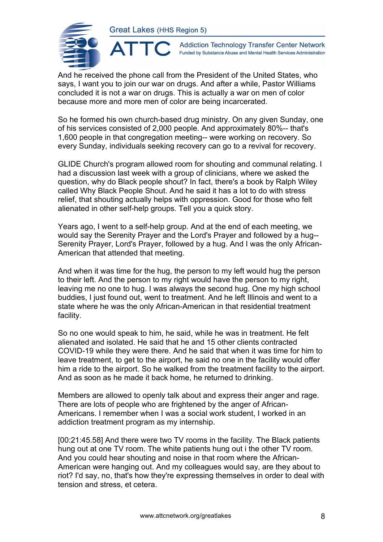AT



**Addiction Technology Transfer Center Network** Funded by Substance Abuse and Mental Health Services Administration

And he received the phone call from the President of the United States, who says, I want you to join our war on drugs. And after a while, Pastor Williams concluded it is not a war on drugs. This is actually a war on men of color because more and more men of color are being incarcerated.

So he formed his own church-based drug ministry. On any given Sunday, one of his services consisted of 2,000 people. And approximately 80%-- that's 1,600 people in that congregation meeting-- were working on recovery. So every Sunday, individuals seeking recovery can go to a revival for recovery.

GLIDE Church's program allowed room for shouting and communal relating. I had a discussion last week with a group of clinicians, where we asked the question, why do Black people shout? In fact, there's a book by Ralph Wiley called Why Black People Shout. And he said it has a lot to do with stress relief, that shouting actually helps with oppression. Good for those who felt alienated in other self-help groups. Tell you a quick story.

Years ago, I went to a self-help group. And at the end of each meeting, we would say the Serenity Prayer and the Lord's Prayer and followed by a hug-- Serenity Prayer, Lord's Prayer, followed by a hug. And I was the only African-American that attended that meeting.

And when it was time for the hug, the person to my left would hug the person to their left. And the person to my right would have the person to my right, leaving me no one to hug. I was always the second hug. One my high school buddies, I just found out, went to treatment. And he left Illinois and went to a state where he was the only African-American in that residential treatment facility.

So no one would speak to him, he said, while he was in treatment. He felt alienated and isolated. He said that he and 15 other clients contracted COVID-19 while they were there. And he said that when it was time for him to leave treatment, to get to the airport, he said no one in the facility would offer him a ride to the airport. So he walked from the treatment facility to the airport. And as soon as he made it back home, he returned to drinking.

Members are allowed to openly talk about and express their anger and rage. There are lots of people who are frightened by the anger of African-Americans. I remember when I was a social work student, I worked in an addiction treatment program as my internship.

[00:21:45.58] And there were two TV rooms in the facility. The Black patients hung out at one TV room. The white patients hung out i the other TV room. And you could hear shouting and noise in that room where the African-American were hanging out. And my colleagues would say, are they about to riot? I'd say, no, that's how they're expressing themselves in order to deal with tension and stress, et cetera.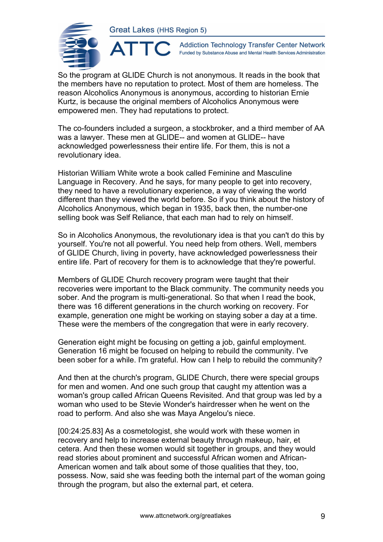ATTC



**Addiction Technology Transfer Center Network** Funded by Substance Abuse and Mental Health Services Administration

So the program at GLIDE Church is not anonymous. It reads in the book that the members have no reputation to protect. Most of them are homeless. The reason Alcoholics Anonymous is anonymous, according to historian Ernie Kurtz, is because the original members of Alcoholics Anonymous were empowered men. They had reputations to protect.

The co-founders included a surgeon, a stockbroker, and a third member of AA was a lawyer. These men at GLIDE-- and women at GLIDE-- have acknowledged powerlessness their entire life. For them, this is not a revolutionary idea.

Historian William White wrote a book called Feminine and Masculine Language in Recovery. And he says, for many people to get into recovery, they need to have a revolutionary experience, a way of viewing the world different than they viewed the world before. So if you think about the history of Alcoholics Anonymous, which began in 1935, back then, the number-one selling book was Self Reliance, that each man had to rely on himself.

So in Alcoholics Anonymous, the revolutionary idea is that you can't do this by yourself. You're not all powerful. You need help from others. Well, members of GLIDE Church, living in poverty, have acknowledged powerlessness their entire life. Part of recovery for them is to acknowledge that they're powerful.

Members of GLIDE Church recovery program were taught that their recoveries were important to the Black community. The community needs you sober. And the program is multi-generational. So that when I read the book, there was 16 different generations in the church working on recovery. For example, generation one might be working on staying sober a day at a time. These were the members of the congregation that were in early recovery.

Generation eight might be focusing on getting a job, gainful employment. Generation 16 might be focused on helping to rebuild the community. I've been sober for a while. I'm grateful. How can I help to rebuild the community?

And then at the church's program, GLIDE Church, there were special groups for men and women. And one such group that caught my attention was a woman's group called African Queens Revisited. And that group was led by a woman who used to be Stevie Wonder's hairdresser when he went on the road to perform. And also she was Maya Angelou's niece.

[00:24:25.83] As a cosmetologist, she would work with these women in recovery and help to increase external beauty through makeup, hair, et cetera. And then these women would sit together in groups, and they would read stories about prominent and successful African women and African-American women and talk about some of those qualities that they, too, possess. Now, said she was feeding both the internal part of the woman going through the program, but also the external part, et cetera.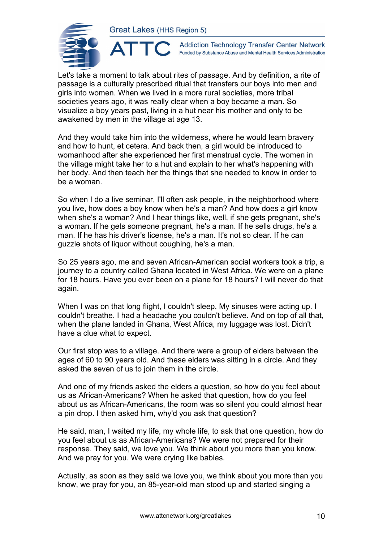

**Addiction Technology Transfer Center Network** Funded by Substance Abuse and Mental Health Services Administration

Let's take a moment to talk about rites of passage. And by definition, a rite of passage is a culturally prescribed ritual that transfers our boys into men and girls into women. When we lived in a more rural societies, more tribal societies years ago, it was really clear when a boy became a man. So visualize a boy years past, living in a hut near his mother and only to be awakened by men in the village at age 13.

And they would take him into the wilderness, where he would learn bravery and how to hunt, et cetera. And back then, a girl would be introduced to womanhood after she experienced her first menstrual cycle. The women in the village might take her to a hut and explain to her what's happening with her body. And then teach her the things that she needed to know in order to be a woman.

So when I do a live seminar, I'll often ask people, in the neighborhood where you live, how does a boy know when he's a man? And how does a girl know when she's a woman? And I hear things like, well, if she gets pregnant, she's a woman. If he gets someone pregnant, he's a man. If he sells drugs, he's a man. If he has his driver's license, he's a man. It's not so clear. If he can guzzle shots of liquor without coughing, he's a man.

So 25 years ago, me and seven African-American social workers took a trip, a journey to a country called Ghana located in West Africa. We were on a plane for 18 hours. Have you ever been on a plane for 18 hours? I will never do that again.

When I was on that long flight, I couldn't sleep. My sinuses were acting up. I couldn't breathe. I had a headache you couldn't believe. And on top of all that, when the plane landed in Ghana, West Africa, my luggage was lost. Didn't have a clue what to expect.

Our first stop was to a village. And there were a group of elders between the ages of 60 to 90 years old. And these elders was sitting in a circle. And they asked the seven of us to join them in the circle.

And one of my friends asked the elders a question, so how do you feel about us as African-Americans? When he asked that question, how do you feel about us as African-Americans, the room was so silent you could almost hear a pin drop. I then asked him, why'd you ask that question?

He said, man, I waited my life, my whole life, to ask that one question, how do you feel about us as African-Americans? We were not prepared for their response. They said, we love you. We think about you more than you know. And we pray for you. We were crying like babies.

Actually, as soon as they said we love you, we think about you more than you know, we pray for you, an 85-year-old man stood up and started singing a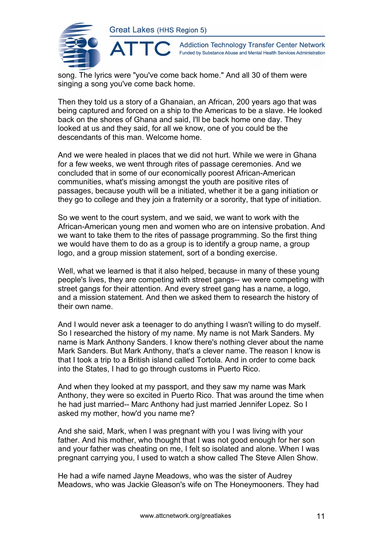

**Addiction Technology Transfer Center Network** Funded by Substance Abuse and Mental Health Services Administration

song. The lyrics were "you've come back home." And all 30 of them were singing a song you've come back home.

Then they told us a story of a Ghanaian, an African, 200 years ago that was being captured and forced on a ship to the Americas to be a slave. He looked back on the shores of Ghana and said, I'll be back home one day. They looked at us and they said, for all we know, one of you could be the descendants of this man. Welcome home.

And we were healed in places that we did not hurt. While we were in Ghana for a few weeks, we went through rites of passage ceremonies. And we concluded that in some of our economically poorest African-American communities, what's missing amongst the youth are positive rites of passages, because youth will be a initiated, whether it be a gang initiation or they go to college and they join a fraternity or a sorority, that type of initiation.

So we went to the court system, and we said, we want to work with the African-American young men and women who are on intensive probation. And we want to take them to the rites of passage programming. So the first thing we would have them to do as a group is to identify a group name, a group logo, and a group mission statement, sort of a bonding exercise.

Well, what we learned is that it also helped, because in many of these young people's lives, they are competing with street gangs-- we were competing with street gangs for their attention. And every street gang has a name, a logo, and a mission statement. And then we asked them to research the history of their own name.

And I would never ask a teenager to do anything I wasn't willing to do myself. So I researched the history of my name. My name is not Mark Sanders. My name is Mark Anthony Sanders. I know there's nothing clever about the name Mark Sanders. But Mark Anthony, that's a clever name. The reason I know is that I took a trip to a British island called Tortola. And in order to come back into the States, I had to go through customs in Puerto Rico.

And when they looked at my passport, and they saw my name was Mark Anthony, they were so excited in Puerto Rico. That was around the time when he had just married-- Marc Anthony had just married Jennifer Lopez. So I asked my mother, how'd you name me?

And she said, Mark, when I was pregnant with you I was living with your father. And his mother, who thought that I was not good enough for her son and your father was cheating on me, I felt so isolated and alone. When I was pregnant carrying you, I used to watch a show called The Steve Allen Show.

He had a wife named Jayne Meadows, who was the sister of Audrey Meadows, who was Jackie Gleason's wife on The Honeymooners. They had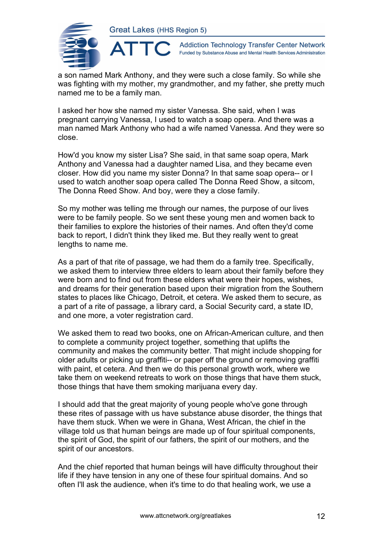

**Addiction Technology Transfer Center Network** Funded by Substance Abuse and Mental Health Services Administration

a son named Mark Anthony, and they were such a close family. So while she was fighting with my mother, my grandmother, and my father, she pretty much named me to be a family man.

I asked her how she named my sister Vanessa. She said, when I was pregnant carrying Vanessa, I used to watch a soap opera. And there was a man named Mark Anthony who had a wife named Vanessa. And they were so close.

How'd you know my sister Lisa? She said, in that same soap opera, Mark Anthony and Vanessa had a daughter named Lisa, and they became even closer. How did you name my sister Donna? In that same soap opera-- or I used to watch another soap opera called The Donna Reed Show, a sitcom, The Donna Reed Show. And boy, were they a close family.

So my mother was telling me through our names, the purpose of our lives were to be family people. So we sent these young men and women back to their families to explore the histories of their names. And often they'd come back to report, I didn't think they liked me. But they really went to great lengths to name me.

As a part of that rite of passage, we had them do a family tree. Specifically, we asked them to interview three elders to learn about their family before they were born and to find out from these elders what were their hopes, wishes, and dreams for their generation based upon their migration from the Southern states to places like Chicago, Detroit, et cetera. We asked them to secure, as a part of a rite of passage, a library card, a Social Security card, a state ID, and one more, a voter registration card.

We asked them to read two books, one on African-American culture, and then to complete a community project together, something that uplifts the community and makes the community better. That might include shopping for older adults or picking up graffiti-- or paper off the ground or removing graffiti with paint, et cetera. And then we do this personal growth work, where we take them on weekend retreats to work on those things that have them stuck, those things that have them smoking marijuana every day.

I should add that the great majority of young people who've gone through these rites of passage with us have substance abuse disorder, the things that have them stuck. When we were in Ghana, West African, the chief in the village told us that human beings are made up of four spiritual components, the spirit of God, the spirit of our fathers, the spirit of our mothers, and the spirit of our ancestors.

And the chief reported that human beings will have difficulty throughout their life if they have tension in any one of these four spiritual domains. And so often I'll ask the audience, when it's time to do that healing work, we use a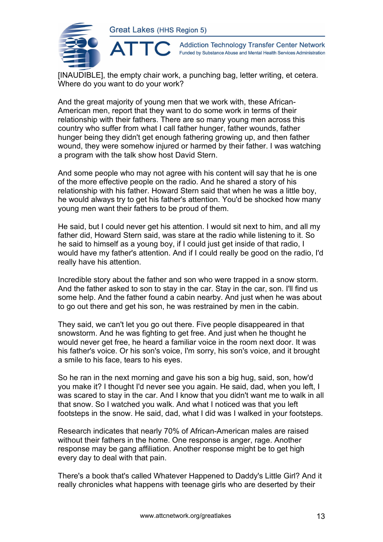

**Addiction Technology Transfer Center Network** Funded by Substance Abuse and Mental Health Services Administration

[INAUDIBLE], the empty chair work, a punching bag, letter writing, et cetera. Where do you want to do your work?

And the great majority of young men that we work with, these African-American men, report that they want to do some work in terms of their relationship with their fathers. There are so many young men across this country who suffer from what I call father hunger, father wounds, father hunger being they didn't get enough fathering growing up, and then father wound, they were somehow injured or harmed by their father. I was watching a program with the talk show host David Stern.

And some people who may not agree with his content will say that he is one of the more effective people on the radio. And he shared a story of his relationship with his father. Howard Stern said that when he was a little boy, he would always try to get his father's attention. You'd be shocked how many young men want their fathers to be proud of them.

He said, but I could never get his attention. I would sit next to him, and all my father did, Howard Stern said, was stare at the radio while listening to it. So he said to himself as a young boy, if I could just get inside of that radio, I would have my father's attention. And if I could really be good on the radio, I'd really have his attention.

Incredible story about the father and son who were trapped in a snow storm. And the father asked to son to stay in the car. Stay in the car, son. I'll find us some help. And the father found a cabin nearby. And just when he was about to go out there and get his son, he was restrained by men in the cabin.

They said, we can't let you go out there. Five people disappeared in that snowstorm. And he was fighting to get free. And just when he thought he would never get free, he heard a familiar voice in the room next door. It was his father's voice. Or his son's voice, I'm sorry, his son's voice, and it brought a smile to his face, tears to his eyes.

So he ran in the next morning and gave his son a big hug, said, son, how'd you make it? I thought I'd never see you again. He said, dad, when you left, I was scared to stay in the car. And I know that you didn't want me to walk in all that snow. So I watched you walk. And what I noticed was that you left footsteps in the snow. He said, dad, what I did was I walked in your footsteps.

Research indicates that nearly 70% of African-American males are raised without their fathers in the home. One response is anger, rage. Another response may be gang affiliation. Another response might be to get high every day to deal with that pain.

There's a book that's called Whatever Happened to Daddy's Little Girl? And it really chronicles what happens with teenage girls who are deserted by their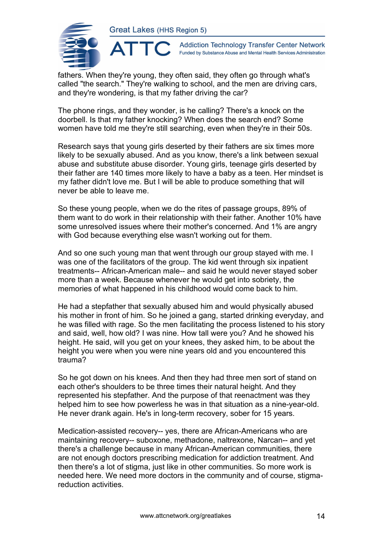

**Addiction Technology Transfer Center Network** Funded by Substance Abuse and Mental Health Services Administration

fathers. When they're young, they often said, they often go through what's called "the search." They're walking to school, and the men are driving cars, and they're wondering, is that my father driving the car?

The phone rings, and they wonder, is he calling? There's a knock on the doorbell. Is that my father knocking? When does the search end? Some women have told me they're still searching, even when they're in their 50s.

Research says that young girls deserted by their fathers are six times more likely to be sexually abused. And as you know, there's a link between sexual abuse and substitute abuse disorder. Young girls, teenage girls deserted by their father are 140 times more likely to have a baby as a teen. Her mindset is my father didn't love me. But I will be able to produce something that will never be able to leave me.

So these young people, when we do the rites of passage groups, 89% of them want to do work in their relationship with their father. Another 10% have some unresolved issues where their mother's concerned. And 1% are angry with God because everything else wasn't working out for them.

And so one such young man that went through our group stayed with me. I was one of the facilitators of the group. The kid went through six inpatient treatments-- African-American male-- and said he would never stayed sober more than a week. Because whenever he would get into sobriety, the memories of what happened in his childhood would come back to him.

He had a stepfather that sexually abused him and would physically abused his mother in front of him. So he joined a gang, started drinking everyday, and he was filled with rage. So the men facilitating the process listened to his story and said, well, how old? I was nine. How tall were you? And he showed his height. He said, will you get on your knees, they asked him, to be about the height you were when you were nine years old and you encountered this trauma?

So he got down on his knees. And then they had three men sort of stand on each other's shoulders to be three times their natural height. And they represented his stepfather. And the purpose of that reenactment was they helped him to see how powerless he was in that situation as a nine-year-old. He never drank again. He's in long-term recovery, sober for 15 years.

Medication-assisted recovery-- yes, there are African-Americans who are maintaining recovery-- suboxone, methadone, naltrexone, Narcan-- and yet there's a challenge because in many African-American communities, there are not enough doctors prescribing medication for addiction treatment. And then there's a lot of stigma, just like in other communities. So more work is needed here. We need more doctors in the community and of course, stigmareduction activities.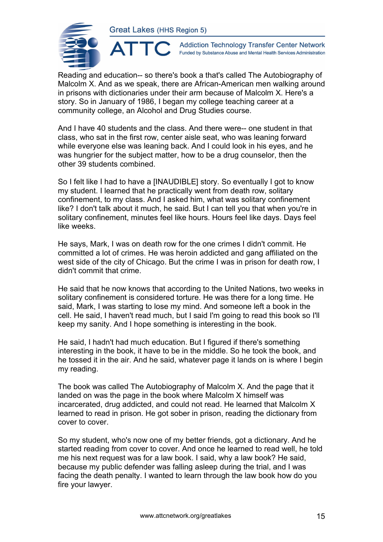

**Addiction Technology Transfer Center Network** Funded by Substance Abuse and Mental Health Services Administration

Reading and education-- so there's book a that's called The Autobiography of Malcolm X. And as we speak, there are African-American men walking around in prisons with dictionaries under their arm because of Malcolm X. Here's a story. So in January of 1986, I began my college teaching career at a community college, an Alcohol and Drug Studies course.

And I have 40 students and the class. And there were-- one student in that class, who sat in the first row, center aisle seat, who was leaning forward while everyone else was leaning back. And I could look in his eyes, and he was hungrier for the subject matter, how to be a drug counselor, then the other 39 students combined.

So I felt like I had to have a [INAUDIBLE] story. So eventually I got to know my student. I learned that he practically went from death row, solitary confinement, to my class. And I asked him, what was solitary confinement like? I don't talk about it much, he said. But I can tell you that when you're in solitary confinement, minutes feel like hours. Hours feel like days. Days feel like weeks.

He says, Mark, I was on death row for the one crimes I didn't commit. He committed a lot of crimes. He was heroin addicted and gang affiliated on the west side of the city of Chicago. But the crime I was in prison for death row, I didn't commit that crime.

He said that he now knows that according to the United Nations, two weeks in solitary confinement is considered torture. He was there for a long time. He said, Mark, I was starting to lose my mind. And someone left a book in the cell. He said, I haven't read much, but I said I'm going to read this book so I'll keep my sanity. And I hope something is interesting in the book.

He said, I hadn't had much education. But I figured if there's something interesting in the book, it have to be in the middle. So he took the book, and he tossed it in the air. And he said, whatever page it lands on is where I begin my reading.

The book was called The Autobiography of Malcolm X. And the page that it landed on was the page in the book where Malcolm X himself was incarcerated, drug addicted, and could not read. He learned that Malcolm X learned to read in prison. He got sober in prison, reading the dictionary from cover to cover.

So my student, who's now one of my better friends, got a dictionary. And he started reading from cover to cover. And once he learned to read well, he told me his next request was for a law book. I said, why a law book? He said, because my public defender was falling asleep during the trial, and I was facing the death penalty. I wanted to learn through the law book how do you fire your lawyer.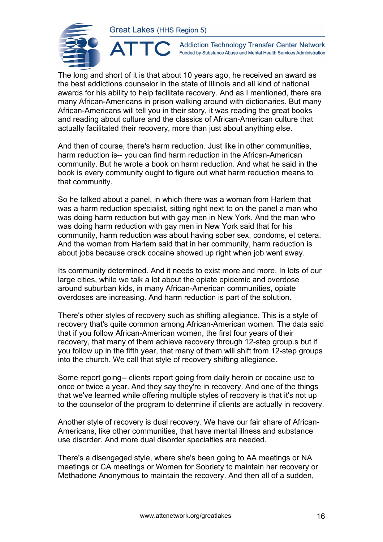

 $\blacktriangle^-$ 

**Addiction Technology Transfer Center Network** Funded by Substance Abuse and Mental Health Services Administration

The long and short of it is that about 10 years ago, he received an award as the best addictions counselor in the state of Illinois and all kind of national awards for his ability to help facilitate recovery. And as I mentioned, there are many African-Americans in prison walking around with dictionaries. But many African-Americans will tell you in their story, it was reading the great books and reading about culture and the classics of African-American culture that actually facilitated their recovery, more than just about anything else.

And then of course, there's harm reduction. Just like in other communities, harm reduction is-- you can find harm reduction in the African-American community. But he wrote a book on harm reduction. And what he said in the book is every community ought to figure out what harm reduction means to that community.

So he talked about a panel, in which there was a woman from Harlem that was a harm reduction specialist, sitting right next to on the panel a man who was doing harm reduction but with gay men in New York. And the man who was doing harm reduction with gay men in New York said that for his community, harm reduction was about having sober sex, condoms, et cetera. And the woman from Harlem said that in her community, harm reduction is about jobs because crack cocaine showed up right when job went away.

Its community determined. And it needs to exist more and more. In lots of our large cities, while we talk a lot about the opiate epidemic and overdose around suburban kids, in many African-American communities, opiate overdoses are increasing. And harm reduction is part of the solution.

There's other styles of recovery such as shifting allegiance. This is a style of recovery that's quite common among African-American women. The data said that if you follow African-American women, the first four years of their recovery, that many of them achieve recovery through 12-step group.s but if you follow up in the fifth year, that many of them will shift from 12-step groups into the church. We call that style of recovery shifting allegiance.

Some report going-- clients report going from daily heroin or cocaine use to once or twice a year. And they say they're in recovery. And one of the things that we've learned while offering multiple styles of recovery is that it's not up to the counselor of the program to determine if clients are actually in recovery.

Another style of recovery is dual recovery. We have our fair share of African-Americans, like other communities, that have mental illness and substance use disorder. And more dual disorder specialties are needed.

There's a disengaged style, where she's been going to AA meetings or NA meetings or CA meetings or Women for Sobriety to maintain her recovery or Methadone Anonymous to maintain the recovery. And then all of a sudden,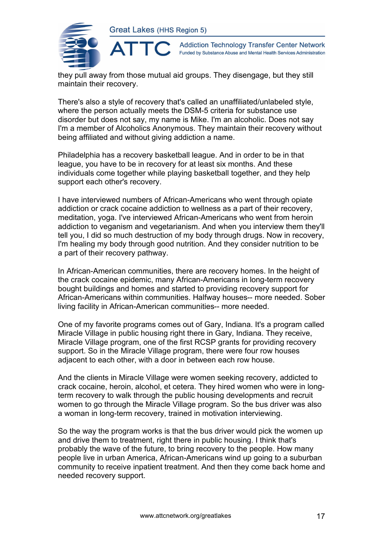

 $\blacktriangle$ 

**Addiction Technology Transfer Center Network** Funded by Substance Abuse and Mental Health Services Administration

they pull away from those mutual aid groups. They disengage, but they still maintain their recovery.

There's also a style of recovery that's called an unaffiliated/unlabeled style, where the person actually meets the DSM-5 criteria for substance use disorder but does not say, my name is Mike. I'm an alcoholic. Does not say I'm a member of Alcoholics Anonymous. They maintain their recovery without being affiliated and without giving addiction a name.

Philadelphia has a recovery basketball league. And in order to be in that league, you have to be in recovery for at least six months. And these individuals come together while playing basketball together, and they help support each other's recovery.

I have interviewed numbers of African-Americans who went through opiate addiction or crack cocaine addiction to wellness as a part of their recovery, meditation, yoga. I've interviewed African-Americans who went from heroin addiction to veganism and vegetarianism. And when you interview them they'll tell you, I did so much destruction of my body through drugs. Now in recovery, I'm healing my body through good nutrition. And they consider nutrition to be a part of their recovery pathway.

In African-American communities, there are recovery homes. In the height of the crack cocaine epidemic, many African-Americans in long-term recovery bought buildings and homes and started to providing recovery support for African-Americans within communities. Halfway houses-- more needed. Sober living facility in African-American communities-- more needed.

One of my favorite programs comes out of Gary, Indiana. It's a program called Miracle Village in public housing right there in Gary, Indiana. They receive, Miracle Village program, one of the first RCSP grants for providing recovery support. So in the Miracle Village program, there were four row houses adjacent to each other, with a door in between each row house.

And the clients in Miracle Village were women seeking recovery, addicted to crack cocaine, heroin, alcohol, et cetera. They hired women who were in longterm recovery to walk through the public housing developments and recruit women to go through the Miracle Village program. So the bus driver was also a woman in long-term recovery, trained in motivation interviewing.

So the way the program works is that the bus driver would pick the women up and drive them to treatment, right there in public housing. I think that's probably the wave of the future, to bring recovery to the people. How many people live in urban America, African-Americans wind up going to a suburban community to receive inpatient treatment. And then they come back home and needed recovery support.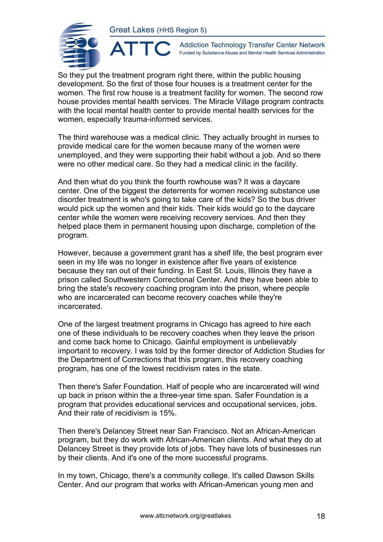ATTO



**Addiction Technology Transfer Center Network** Funded by Substance Abuse and Mental Health Services Administration

So they put the treatment program right there, within the public housing development. So the first of those four houses is a treatment center for the women. The first row house is a treatment facility for women. The second row house provides mental health services. The Miracle Village program contracts with the local mental health center to provide mental health services for the women, especially trauma-informed services.

The third warehouse was a medical clinic. They actually brought in nurses to provide medical care for the women because many of the women were unemployed, and they were supporting their habit without a job. And so there were no other medical care. So they had a medical clinic in the facility.

And then what do you think the fourth rowhouse was? It was a daycare center. One of the biggest the deterrents for women receiving substance use disorder treatment is who's going to take care of the kids? So the bus driver would pick up the women and their kids. Their kids would go to the daycare center while the women were receiving recovery services. And then they helped place them in permanent housing upon discharge, completion of the program.

However, because a government grant has a shelf life, the best program ever seen in my life was no longer in existence after five years of existence because they ran out of their funding. In East St. Louis, Illinois they have a prison called Southwestern Correctional Center. And they have been able to bring the state's recovery coaching program into the prison, where people who are incarcerated can become recovery coaches while they're incarcerated.

One of the largest treatment programs in Chicago has agreed to hire each one of these individuals to be recovery coaches when they leave the prison and come back home to Chicago. Gainful employment is unbelievably important to recovery. I was told by the former director of Addiction Studies for the Department of Corrections that this program, this recovery coaching program, has one of the lowest recidivism rates in the state.

Then there's Safer Foundation. Half of people who are incarcerated will wind up back in prison within the a three-year time span. Safer Foundation is a program that provides educational services and occupational services, jobs. And their rate of recidivism is 15%.

Then there's Delancey Street near San Francisco. Not an African-American program, but they do work with African-American clients. And what they do at Delancey Street is they provide lots of jobs. They have lots of businesses run by their clients. And it's one of the more successful programs.

In my town, Chicago, there's a community college. It's called Dawson Skills Center. And our program that works with African-American young men and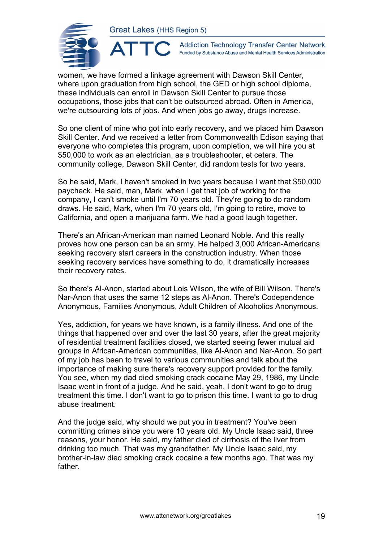ATTO



**Addiction Technology Transfer Center Network** Funded by Substance Abuse and Mental Health Services Administration

women, we have formed a linkage agreement with Dawson Skill Center, where upon graduation from high school, the GED or high school diploma, these individuals can enroll in Dawson Skill Center to pursue those occupations, those jobs that can't be outsourced abroad. Often in America, we're outsourcing lots of jobs. And when jobs go away, drugs increase.

So one client of mine who got into early recovery, and we placed him Dawson Skill Center. And we received a letter from Commonwealth Edison saying that everyone who completes this program, upon completion, we will hire you at \$50,000 to work as an electrician, as a troubleshooter, et cetera. The community college, Dawson Skill Center, did random tests for two years.

So he said, Mark, I haven't smoked in two years because I want that \$50,000 paycheck. He said, man, Mark, when I get that job of working for the company, I can't smoke until I'm 70 years old. They're going to do random draws. He said, Mark, when I'm 70 years old, I'm going to retire, move to California, and open a marijuana farm. We had a good laugh together.

There's an African-American man named Leonard Noble. And this really proves how one person can be an army. He helped 3,000 African-Americans seeking recovery start careers in the construction industry. When those seeking recovery services have something to do, it dramatically increases their recovery rates.

So there's Al-Anon, started about Lois Wilson, the wife of Bill Wilson. There's Nar-Anon that uses the same 12 steps as Al-Anon. There's Codependence Anonymous, Families Anonymous, Adult Children of Alcoholics Anonymous.

Yes, addiction, for years we have known, is a family illness. And one of the things that happened over and over the last 30 years, after the great majority of residential treatment facilities closed, we started seeing fewer mutual aid groups in African-American communities, like Al-Anon and Nar-Anon. So part of my job has been to travel to various communities and talk about the importance of making sure there's recovery support provided for the family. You see, when my dad died smoking crack cocaine May 29, 1986, my Uncle Isaac went in front of a judge. And he said, yeah, I don't want to go to drug treatment this time. I don't want to go to prison this time. I want to go to drug abuse treatment.

And the judge said, why should we put you in treatment? You've been committing crimes since you were 10 years old. My Uncle Isaac said, three reasons, your honor. He said, my father died of cirrhosis of the liver from drinking too much. That was my grandfather. My Uncle Isaac said, my brother-in-law died smoking crack cocaine a few months ago. That was my father.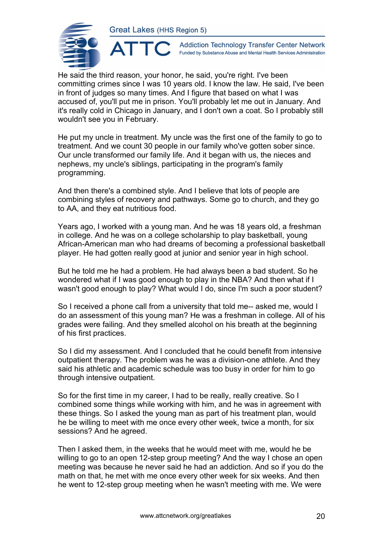

**Addiction Technology Transfer Center Network** Funded by Substance Abuse and Mental Health Services Administration

He said the third reason, your honor, he said, you're right. I've been committing crimes since I was 10 years old. I know the law. He said, I've been in front of judges so many times. And I figure that based on what I was accused of, you'll put me in prison. You'll probably let me out in January. And it's really cold in Chicago in January, and I don't own a coat. So I probably still wouldn't see you in February.

He put my uncle in treatment. My uncle was the first one of the family to go to treatment. And we count 30 people in our family who've gotten sober since. Our uncle transformed our family life. And it began with us, the nieces and nephews, my uncle's siblings, participating in the program's family programming.

And then there's a combined style. And I believe that lots of people are combining styles of recovery and pathways. Some go to church, and they go to AA, and they eat nutritious food.

Years ago, I worked with a young man. And he was 18 years old, a freshman in college. And he was on a college scholarship to play basketball, young African-American man who had dreams of becoming a professional basketball player. He had gotten really good at junior and senior year in high school.

But he told me he had a problem. He had always been a bad student. So he wondered what if I was good enough to play in the NBA? And then what if I wasn't good enough to play? What would I do, since I'm such a poor student?

So I received a phone call from a university that told me-- asked me, would I do an assessment of this young man? He was a freshman in college. All of his grades were failing. And they smelled alcohol on his breath at the beginning of his first practices.

So I did my assessment. And I concluded that he could benefit from intensive outpatient therapy. The problem was he was a division-one athlete. And they said his athletic and academic schedule was too busy in order for him to go through intensive outpatient.

So for the first time in my career, I had to be really, really creative. So I combined some things while working with him, and he was in agreement with these things. So I asked the young man as part of his treatment plan, would he be willing to meet with me once every other week, twice a month, for six sessions? And he agreed.

Then I asked them, in the weeks that he would meet with me, would he be willing to go to an open 12-step group meeting? And the way I chose an open meeting was because he never said he had an addiction. And so if you do the math on that, he met with me once every other week for six weeks. And then he went to 12-step group meeting when he wasn't meeting with me. We were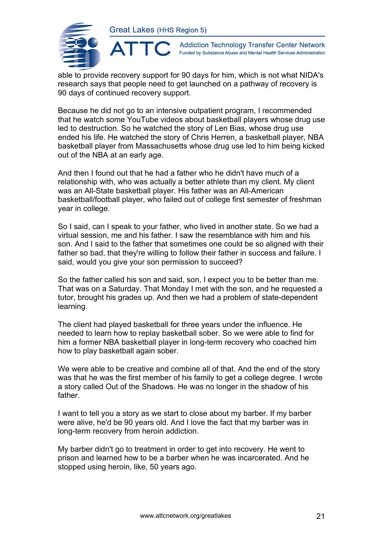

**Addiction Technology Transfer Center Network** Funded by Substance Abuse and Mental Health Services Administration

able to provide recovery support for 90 days for him, which is not what NIDA's research says that people need to get launched on a pathway of recovery is 90 days of continued recovery support.

Because he did not go to an intensive outpatient program, I recommended that he watch some YouTube videos about basketball players whose drug use led to destruction. So he watched the story of Len Bias, whose drug use ended his life. He watched the story of Chris Herren, a basketball player, NBA basketball player from Massachusetts whose drug use led to him being kicked out of the NBA at an early age.

And then I found out that he had a father who he didn't have much of a relationship with, who was actually a better athlete than my client. My client was an All-State basketball player. His father was an All-American basketball/football player, who failed out of college first semester of freshman year in college.

So I said, can I speak to your father, who lived in another state. So we had a virtual session, me and his father. I saw the resemblance with him and his son. And I said to the father that sometimes one could be so aligned with their father so bad, that they're willing to follow their father in success and failure. I said, would you give your son permission to succeed?

So the father called his son and said, son, I expect you to be better than me. That was on a Saturday. That Monday I met with the son, and he requested a tutor, brought his grades up. And then we had a problem of state-dependent learning.

The client had played basketball for three years under the influence. He needed to learn how to replay basketball sober. So we were able to find for him a former NBA basketball player in long-term recovery who coached him how to play basketball again sober.

We were able to be creative and combine all of that. And the end of the story was that he was the first member of his family to get a college degree. I wrote a story called Out of the Shadows. He was no longer in the shadow of his father.

I want to tell you a story as we start to close about my barber. If my barber were alive, he'd be 90 years old. And I love the fact that my barber was in long-term recovery from heroin addiction.

My barber didn't go to treatment in order to get into recovery. He went to prison and learned how to be a barber when he was incarcerated. And he stopped using heroin, like, 50 years ago.